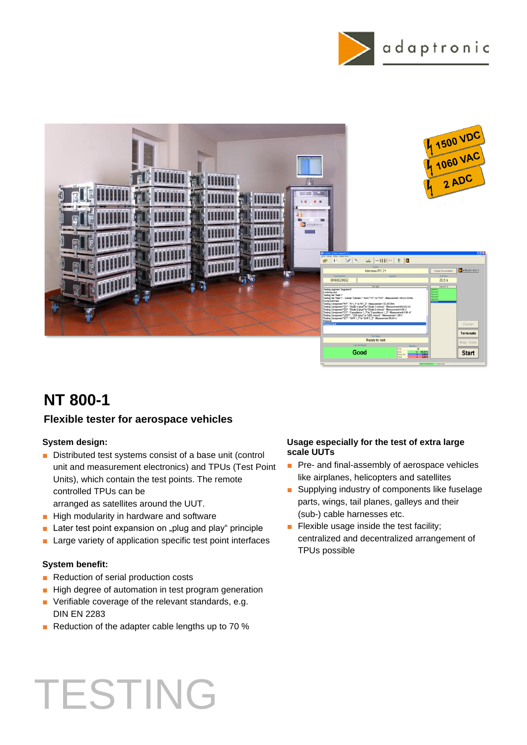



## **Flexible tester for aerospace vehicles**

### **System design:**

■ Distributed test systems consist of a base unit (control unit and measurement electronics) and TPUs (Test Point Units), which contain the test points. The remote controlled TPUs can be

arranged as satellites around the UUT.

- High modularity in hardware and software
- Later test point expansion on "plug and play" principle
- Large variety of application specific test point interfaces

### **System benefit:**

- Reduction of serial production costs
- High degree of automation in test program generation
- Verifiable coverage of the relevant standards, e.g. DIN EN 2283
- Reduction of the adapter cable lengths up to 70 %

#### **Usage especially for the test of extra large scale UUTs**

- Pre- and final-assembly of aerospace vehicles like airplanes, helicopters and satellites
- Supplying industry of components like fuselage parts, wings, tail planes, galleys and their (sub-) cable harnesses etc.
- Flexible usage inside the test facility; centralized and decentralized arrangement of TPUs possible

# TESTING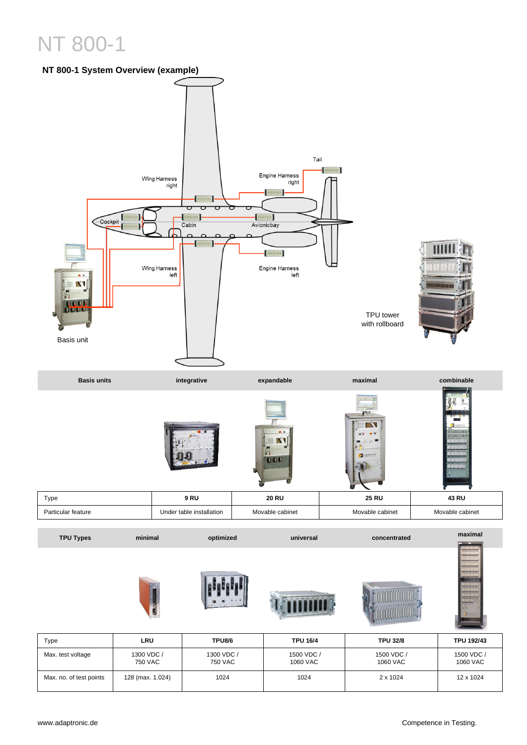

| Type                    | LRU                   | <b>TPU8/6</b>         | <b>TPU 16/4</b>        | <b>TPU 32/8</b>        | <b>TPU 192/43</b>      |
|-------------------------|-----------------------|-----------------------|------------------------|------------------------|------------------------|
| Max. test voltage       | 1300 VDC /<br>750 VAC | 1300 VDC /<br>750 VAC | 1500 VDC /<br>1060 VAC | 1500 VDC /<br>1060 VAC | 1500 VDC /<br>1060 VAC |
| Max. no. of test points | 128 (max. 1.024)      | 1024                  | 1024                   | 2 x 1024               | 12 x 1024              |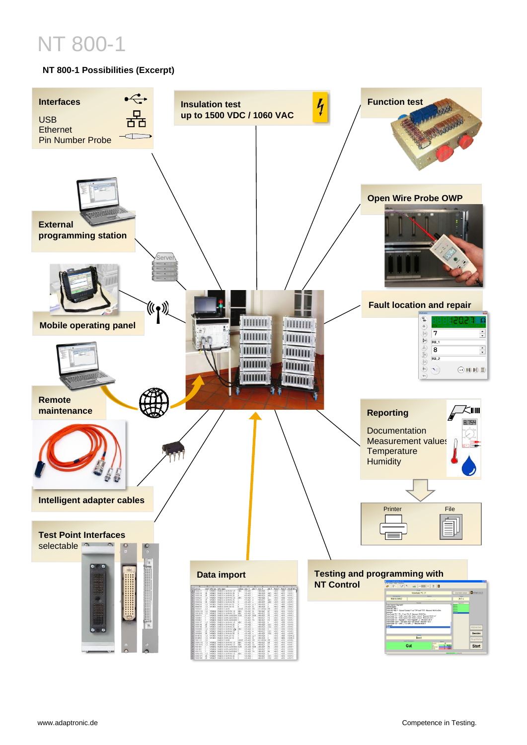## **NT 800-1 Possibilities (Excerpt)**